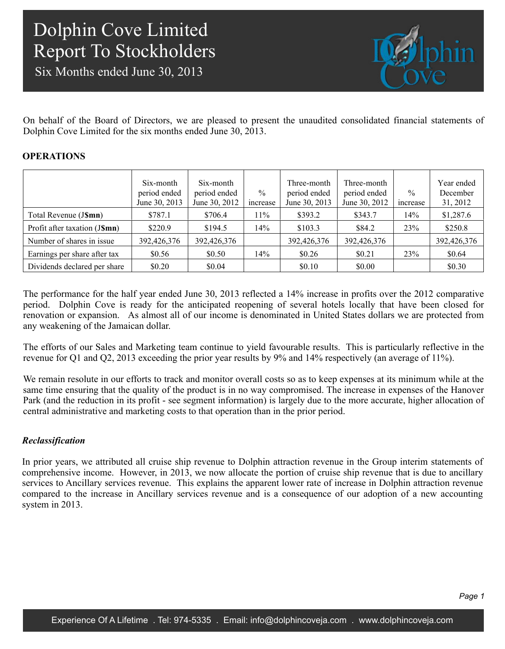Six Months ended June 30, 2013



On behalf of the Board of Directors, we are pleased to present the unaudited consolidated financial statements of Dolphin Cove Limited for the six months ended June 30, 2013.

### **OPERATIONS**

|                               | Six-month<br>period ended<br>June 30, 2013 | Six-month<br>period ended<br>June 30, 2012 | $\frac{0}{0}$<br>increase | Three-month<br>period ended<br>June 30, 2013 | Three-month<br>period ended<br>June 30, 2012 | $\frac{0}{0}$<br>increase | Year ended<br>December<br>31, 2012 |
|-------------------------------|--------------------------------------------|--------------------------------------------|---------------------------|----------------------------------------------|----------------------------------------------|---------------------------|------------------------------------|
| Total Revenue (J\\$mn)        | \$787.1                                    | \$706.4                                    | 11%                       | \$393.2                                      | \$343.7                                      | 14%                       | \$1,287.6                          |
| Profit after taxation (J\$mn) | \$220.9                                    | \$194.5                                    | 14%                       | \$103.3                                      | \$84.2                                       | 23%                       | \$250.8                            |
| Number of shares in issue     | 392,426,376                                | 392,426,376                                |                           | 392,426,376                                  | 392,426,376                                  |                           | 392,426,376                        |
| Earnings per share after tax  | \$0.56                                     | \$0.50                                     | 14%                       | \$0.26                                       | \$0.21                                       | 23%                       | \$0.64                             |
| Dividends declared per share  | \$0.20                                     | \$0.04                                     |                           | \$0.10                                       | \$0.00                                       |                           | \$0.30                             |

The performance for the half year ended June 30, 2013 reflected a 14% increase in profits over the 2012 comparative period. Dolphin Cove is ready for the anticipated reopening of several hotels locally that have been closed for renovation or expansion. As almost all of our income is denominated in United States dollars we are protected from any weakening of the Jamaican dollar.

The efforts of our Sales and Marketing team continue to yield favourable results. This is particularly reflective in the revenue for Q1 and Q2, 2013 exceeding the prior year results by 9% and 14% respectively (an average of 11%).

We remain resolute in our efforts to track and monitor overall costs so as to keep expenses at its minimum while at the same time ensuring that the quality of the product is in no way compromised. The increase in expenses of the Hanover Park (and the reduction in its profit - see segment information) is largely due to the more accurate, higher allocation of central administrative and marketing costs to that operation than in the prior period.

### *Reclassification*

In prior years, we attributed all cruise ship revenue to Dolphin attraction revenue in the Group interim statements of comprehensive income. However, in 2013, we now allocate the portion of cruise ship revenue that is due to ancillary services to Ancillary services revenue. This explains the apparent lower rate of increase in Dolphin attraction revenue compared to the increase in Ancillary services revenue and is a consequence of our adoption of a new accounting system in 2013.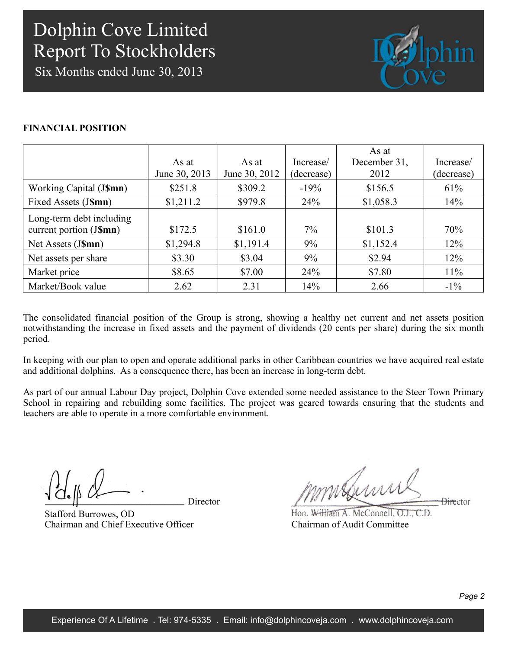Six Months ended June 30, 2013



### **FINANCIAL POSITION**

|                                                     | As at<br>June 30, 2013 | As at<br>June 30, 2012 | Increase/<br>(decrease) | As at<br>December 31,<br>2012 | Increase/<br>(decrease) |
|-----------------------------------------------------|------------------------|------------------------|-------------------------|-------------------------------|-------------------------|
| Working Capital (J\$mn)                             | \$251.8                | \$309.2                | $-19%$                  | \$156.5                       | 61%                     |
| Fixed Assets (J\$mn)                                | \$1,211.2              | \$979.8                | 24%                     | \$1,058.3                     | 14%                     |
| Long-term debt including<br>current portion (J\$mn) | \$172.5                | \$161.0                | $7\%$                   | \$101.3                       | 70%                     |
| Net Assets (J\$mn)                                  | \$1,294.8              | \$1,191.4              | 9%                      | \$1,152.4                     | 12%                     |
| Net assets per share                                | \$3.30                 | \$3.04                 | 9%                      | \$2.94                        | 12%                     |
| Market price                                        | \$8.65                 | \$7.00                 | 24%                     | \$7.80                        | $11\%$                  |
| Market/Book value                                   | 2.62                   | 2.31                   | 14%                     | 2.66                          | $-1\%$                  |

The consolidated financial position of the Group is strong, showing a healthy net current and net assets position notwithstanding the increase in fixed assets and the payment of dividends (20 cents per share) during the six month period.

In keeping with our plan to open and operate additional parks in other Caribbean countries we have acquired real estate and additional dolphins. As a consequence there, has been an increase in long-term debt.

As part of our annual Labour Day project, Dolphin Cove extended some needed assistance to the Steer Town Primary School in repairing and rebuilding some facilities. The project was geared towards ensuring that the students and teachers are able to operate in a more comfortable environment.

Director

Stafford Burrowes, OD Chairman and Chief Executive Officer

mmsbumi **Director** 

Hon. William A. McConnell, O.J., C.D. Chairman of Audit Committee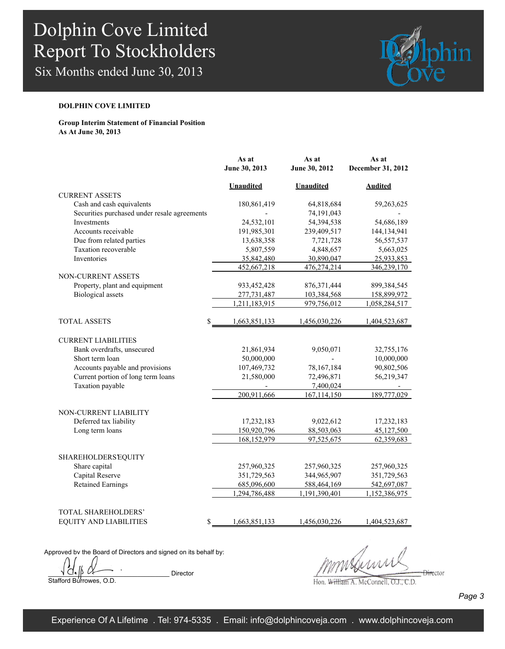Six Months ended June 30, 2013



#### **DOLPHIN COVE LIMITED**

#### **Group Interim Statement of Financial Position As At June 30, 2013**

|                                                 | As at<br>June 30, 2013 | As at<br>June 30, 2012 | As at             |
|-------------------------------------------------|------------------------|------------------------|-------------------|
|                                                 |                        |                        | December 31, 2012 |
|                                                 | <b>Unaudited</b>       | <b>Unaudited</b>       | <b>Audited</b>    |
| <b>CURRENT ASSETS</b>                           |                        |                        |                   |
| Cash and cash equivalents                       | 180,861,419            | 64,818,684             | 59,263,625        |
| Securities purchased under resale agreements    |                        | 74,191,043             |                   |
| Investments                                     | 24,532,101             | 54,394,538             | 54,686,189        |
| Accounts receivable                             | 191,985,301            | 239,409,517            | 144,134,941       |
| Due from related parties                        | 13,638,358             | 7,721,728              | 56, 557, 537      |
| Taxation recoverable                            | 5,807,559              | 4,848,657              | 5,663,025         |
| Inventories                                     | 35,842,480             | 30,890,047             | 25,933,853        |
|                                                 | 452,667,218            | 476,274,214            | 346,239,170       |
| NON-CURRENT ASSETS                              |                        |                        |                   |
| Property, plant and equipment                   | 933,452,428            | 876, 371, 444          | 899,384,545       |
| <b>Biological</b> assets                        | 277,731,487            | 103,384,568            | 158,899,972       |
|                                                 | 1,211,183,915          | 979,756,012            | 1,058,284,517     |
|                                                 |                        |                        |                   |
| <b>TOTAL ASSETS</b><br>\$                       | 1,663,851,133          | 1,456,030,226          | 1,404,523,687     |
|                                                 |                        |                        |                   |
| <b>CURRENT LIABILITIES</b>                      |                        |                        |                   |
| Bank overdrafts, unsecured                      | 21,861,934             | 9,050,071              | 32,755,176        |
| Short term loan                                 | 50,000,000             |                        | 10,000,000        |
| Accounts payable and provisions                 | 107,469,732            | 78,167,184             | 90,802,506        |
| Current portion of long term loans              | 21,580,000             | 72,496,871             | 56,219,347        |
| Taxation payable                                |                        | 7,400,024              |                   |
|                                                 | 200,911,666            | 167,114,150            | 189,777,029       |
|                                                 |                        |                        |                   |
| NON-CURRENT LIABILITY<br>Deferred tax liability | 17,232,183             | 9,022,612              | 17,232,183        |
| Long term loans                                 | 150,920,796            | 88,503,063             | 45,127,500        |
|                                                 | 168,152,979            | 97,525,675             | 62,359,683        |
|                                                 |                        |                        |                   |
| <b>SHAREHOLDERS EQUITY</b>                      |                        |                        |                   |
| Share capital                                   | 257,960,325            | 257,960,325            | 257,960,325       |
| Capital Reserve                                 | 351,729,563            | 344,965,907            | 351,729,563       |
| <b>Retained Earnings</b>                        | 685,096,600            | 588,464,169            | 542,697,087       |
|                                                 | 1,294,786,488          | 1,191,390,401          | 1,152,386,975     |
|                                                 |                        |                        |                   |
| TOTAL SHAREHOLDERS'                             |                        |                        |                   |
| <b>EQUITY AND LIABILITIES</b><br>\$             | 1,663,851,133          | 1,456,030,226          | 1,404,523,687     |
|                                                 |                        |                        |                   |

Approved by the Board of Directors and signed on its behalf by:

 $\overline{\bigcup_{i=1}^{n} \bigwedge_{j=1}^{n} \bigwedge_{j=1}^{n} \bigwedge_{j=1}^{n} \bigwedge_{j=1}^{n} \bigwedge_{j=1}^{n} \bigwedge_{j=1}^{n} \bigwedge_{j=1}^{n} \bigwedge_{j=1}^{n} \bigwedge_{j=1}^{n} \bigwedge_{j=1}^{n} \bigwedge_{j=1}^{n} \bigwedge_{j=1}^{n} \bigwedge_{j=1}^{n} \bigwedge_{j=1}^{n} \bigwedge_{j=1}^{n} \bigwedge_{j=1}^{n} \bigwedge_{j=1}^{n} \big$ Stafford Burrowes, O.D.

 $\frac{1}{2}$ 

Hon. William A. McConnell, O.J., C.D.

*Page 3*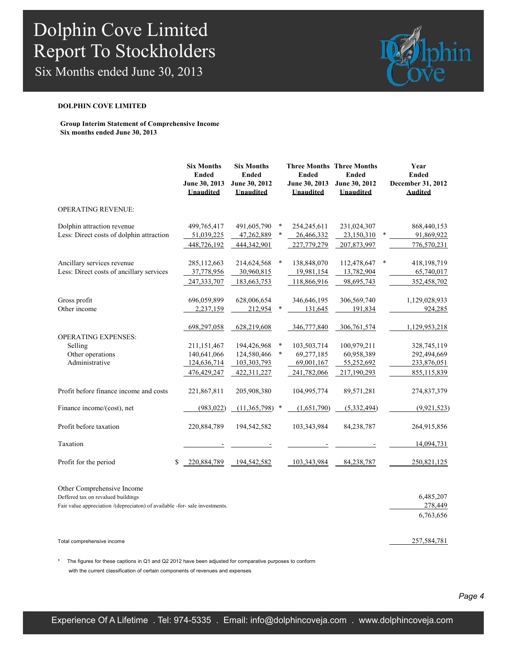Six Months ended June 30, 2013



#### **DOLPHIN COVE LIMITED**

**Group Interim Statement of Comprehensive Income Six months ended June 30, 2013**

|                                                                                                                                                 | <b>Six Months</b><br><b>Ended</b><br>June 30, 2013<br><b>Unaudited</b>    | <b>Six Months</b><br><b>Ended</b><br>June 30, 2012<br><b>Unaudited</b>  |                  | <b>Ended</b><br>June 30, 2013<br><b>Unaudited</b>                     | <b>Three Months Three Months</b><br><b>Ended</b><br>June 30, 2012<br><b>Unaudited</b> |   | Year<br><b>Ended</b><br>December 31, 2012<br><b>Audited</b>               |
|-------------------------------------------------------------------------------------------------------------------------------------------------|---------------------------------------------------------------------------|-------------------------------------------------------------------------|------------------|-----------------------------------------------------------------------|---------------------------------------------------------------------------------------|---|---------------------------------------------------------------------------|
| <b>OPERATING REVENUE:</b>                                                                                                                       |                                                                           |                                                                         |                  |                                                                       |                                                                                       |   |                                                                           |
| Dolphin attraction revenue<br>Less: Direct costs of dolphin attraction                                                                          | 499,765,417<br>51,039,225<br>448,726,192                                  | 491,605,790<br>47,262,889<br>444,342,901                                | $\ast$<br>$\ast$ | 254,245,611<br>26,466,332<br>227,779,279                              | 231,024,307<br>23,150,310<br>207,873,997                                              |   | 868,440,153<br>91,869,922<br>776,570,231                                  |
| Ancillary services revenue<br>Less: Direct costs of ancillary services                                                                          | 285,112,663<br>37,778,956<br>247, 333, 707                                | 214,624,568<br>30,960,815<br>183,663,753                                | $\ast$           | 138,848,070<br>19,981,154<br>118,866,916                              | 112,478,647<br>13,782,904<br>98,695,743                                               | * | 418,198,719<br>65,740,017<br>352,458,702                                  |
| Gross profit<br>Other income                                                                                                                    | 696,059,899<br>2,237,159                                                  | 628,006,654<br>212,954                                                  |                  | 346,646,195<br>131,645                                                | 306,569,740<br>191,834                                                                |   | 1,129,028,933<br>924,285                                                  |
| <b>OPERATING EXPENSES:</b><br>Selling<br>Other operations<br>Administrative                                                                     | 698,297,058<br>211,151,467<br>140,641,066<br>124,636,714<br>476, 429, 247 | 628,219,608<br>194,426,968<br>124,580,466<br>103,303,793<br>422,311,227 | *<br>$\ast$      | 346,777,840<br>103,503,714<br>69,277,185<br>69,001,167<br>241,782,066 | 306,761,574<br>100,979,211<br>60,958,389<br>55,252,692<br>217,190,293                 |   | 1,129,953,218<br>328,745,119<br>292,494,669<br>233,876,051<br>855,115,839 |
| Profit before finance income and costs                                                                                                          | 221,867,811                                                               | 205,908,380                                                             |                  | 104,995,774                                                           | 89,571,281                                                                            |   | 274,837,379                                                               |
| Finance income/(cost), net                                                                                                                      | (983, 022)                                                                | (11,365,798)                                                            | $\ast$           | (1,651,790)                                                           | (5,332,494)                                                                           |   | (9.921.523)                                                               |
| Profit before taxation                                                                                                                          | 220,884,789                                                               | 194,542,582                                                             |                  | 103,343,984                                                           | 84,238,787                                                                            |   | 264,915,856                                                               |
| Taxation                                                                                                                                        |                                                                           |                                                                         |                  |                                                                       |                                                                                       |   | 14,094,731                                                                |
| Profit for the period                                                                                                                           | \$<br>220,884,789                                                         | 194,542,582                                                             |                  | 103,343,984                                                           | 84, 238, 787                                                                          |   | 250,821,125                                                               |
| Other Comprehensive Income<br>Deffered tax on revalued buildings<br>Fair value appreciation /(depreciaton) of available -for- sale investments. |                                                                           |                                                                         |                  |                                                                       |                                                                                       |   | 6,485,207<br>278,449                                                      |
|                                                                                                                                                 |                                                                           |                                                                         |                  |                                                                       |                                                                                       |   | 6,763,656                                                                 |
| Total comprehensive income                                                                                                                      |                                                                           |                                                                         |                  |                                                                       |                                                                                       |   | 257,584,781                                                               |

\* The figures for these captions in Q1 and Q2 2012 have been adjusted for comparative purposes to conform with the current classification of certain components of revenues and expenses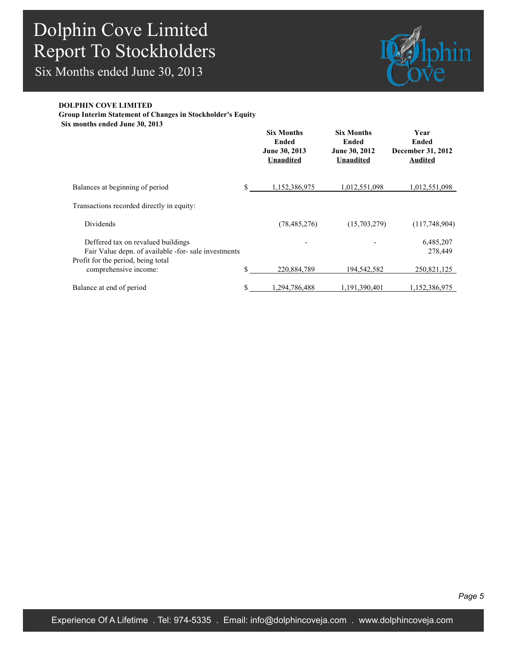Six Months ended June 30, 2013



### **DOLPHIN COVE LIMITED**

**Group Interim Statement of Changes in Stockholder's Equity**

**Six months ended June 30, 2013**

|                                                                                                                                  | <b>Six Months</b><br>Ended<br>June 30, 2013<br><b>Unaudited</b> | <b>Six Months</b><br>Ended<br>June 30, 2012<br><b>Unaudited</b> | Year<br>Ended<br>December 31, 2012<br><b>Audited</b> |
|----------------------------------------------------------------------------------------------------------------------------------|-----------------------------------------------------------------|-----------------------------------------------------------------|------------------------------------------------------|
| Balances at beginning of period                                                                                                  | \$<br>1,152,386,975                                             | 1,012,551,098                                                   | 1,012,551,098                                        |
| Transactions recorded directly in equity:                                                                                        |                                                                 |                                                                 |                                                      |
| Dividends                                                                                                                        | (78, 485, 276)                                                  | (15,703,279)                                                    | (117,748,904)                                        |
| Deffered tax on revalued buildings<br>Fair Value depn. of available -for- sale investments<br>Profit for the period, being total |                                                                 |                                                                 | 6,485,207<br>278,449                                 |
| comprehensive income:                                                                                                            | \$<br>220,884,789                                               | 194,542,582                                                     | 250,821,125                                          |
| Balance at end of period                                                                                                         | \$<br>1,294,786,488                                             | 1,191,390,401                                                   | 1,152,386,975                                        |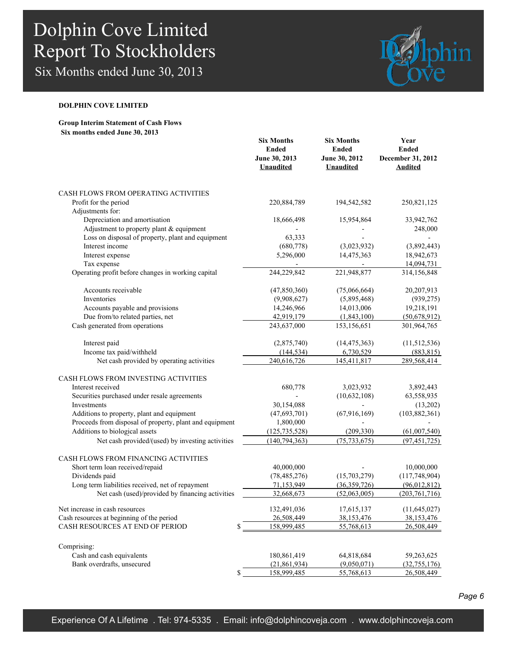Six Months ended June 30, 2013



#### **DOLPHIN COVE LIMITED**

#### **Group Interim Statement of Cash Flows Six months ended June 30, 2013**

|                                                         | <b>Six Months</b><br><b>Ended</b><br>June 30, 2013<br><b>Unaudited</b> | <b>Six Months</b><br><b>Ended</b><br>June 30, 2012<br><b>Unaudited</b> | Year<br><b>Ended</b><br>December 31, 2012<br><b>Audited</b> |
|---------------------------------------------------------|------------------------------------------------------------------------|------------------------------------------------------------------------|-------------------------------------------------------------|
| CASH FLOWS FROM OPERATING ACTIVITIES                    |                                                                        |                                                                        |                                                             |
| Profit for the period                                   | 220,884,789                                                            | 194,542,582                                                            | 250,821,125                                                 |
| Adjustments for:                                        |                                                                        |                                                                        |                                                             |
| Depreciation and amortisation                           | 18,666,498                                                             | 15,954,864                                                             | 33,942,762                                                  |
| Adjustment to property plant & equipment                |                                                                        |                                                                        | 248,000                                                     |
| Loss on disposal of property, plant and equipment       | 63,333                                                                 |                                                                        |                                                             |
| Interest income                                         | (680, 778)                                                             | (3,023,932)                                                            | (3,892,443)                                                 |
| Interest expense                                        | 5,296,000                                                              | 14,475,363                                                             | 18,942,673                                                  |
| Tax expense                                             |                                                                        |                                                                        | 14,094,731                                                  |
| Operating profit before changes in working capital      | 244,229,842                                                            | 221,948,877                                                            | 314,156,848                                                 |
| Accounts receivable                                     | (47, 850, 360)                                                         | (75,066,664)                                                           | 20,207,913                                                  |
| Inventories                                             | (9,908,627)                                                            | (5,895,468)                                                            | (939, 275)                                                  |
| Accounts payable and provisions                         | 14,246,966                                                             | 14,013,006                                                             | 19,218,191                                                  |
| Due from/to related parties, net                        | 42,919,179                                                             | (1,843,100)                                                            | (50,678,912)                                                |
| Cash generated from operations                          | 243,637,000                                                            | 153,156,651                                                            | 301,964,765                                                 |
| Interest paid                                           | (2,875,740)                                                            | (14, 475, 363)                                                         | (11, 512, 536)                                              |
| Income tax paid/withheld                                | (144, 534)                                                             | 6,730,529                                                              | (883, 815)                                                  |
| Net cash provided by operating activities               | 240,616,726                                                            | 145,411,817                                                            | 289,568,414                                                 |
| CASH FLOWS FROM INVESTING ACTIVITIES                    |                                                                        |                                                                        |                                                             |
| Interest received                                       | 680,778                                                                | 3,023,932                                                              | 3,892,443                                                   |
| Securities purchased under resale agreements            |                                                                        | (10, 632, 108)                                                         | 63,558,935                                                  |
| Investments                                             | 30,154,088                                                             |                                                                        | (13,202)                                                    |
| Additions to property, plant and equipment              | (47, 693, 701)                                                         | (67, 916, 169)                                                         | (103, 882, 361)                                             |
| Proceeds from disposal of property, plant and equipment | 1,800,000                                                              |                                                                        |                                                             |
| Additions to biological assets                          | (125, 735, 528)                                                        | (209, 330)                                                             | (61,007,540)                                                |
| Net cash provided/(used) by investing activities        | (140, 794, 363)                                                        | (75, 733, 675)                                                         | (97, 451, 725)                                              |
| CASH FLOWS FROM FINANCING ACTIVITIES                    |                                                                        |                                                                        |                                                             |
| Short term loan received/repaid                         | 40,000,000                                                             |                                                                        | 10,000,000                                                  |
| Dividends paid                                          | (78, 485, 276)                                                         | (15,703,279)                                                           | (117,748,904)                                               |
| Long term liabilities received, net of repayment        | 71,153,949                                                             | (36, 359, 726)                                                         | (96,012,812)                                                |
| Net cash (used)/provided by financing activities        | 32,668,673                                                             | (52,063,005)                                                           | (203, 761, 716)                                             |
| Net increase in cash resources                          | 132,491,036                                                            | 17,615,137                                                             | (11, 645, 027)                                              |
| Cash resources at beginning of the period               | 26,508,449                                                             | 38,153,476                                                             | 38,153,476                                                  |
| CASH RESOURCES AT END OF PERIOD<br>\$                   | 158,999,485                                                            | 55,768,613                                                             | 26,508,449                                                  |
| Comprising:                                             |                                                                        |                                                                        |                                                             |
| Cash and cash equivalents                               | 180,861,419                                                            | 64,818,684                                                             | 59,263,625                                                  |
| Bank overdrafts, unsecured                              | (21, 861, 934)                                                         | (9,050,071)                                                            | (32, 755, 176)                                              |
| \$                                                      | 158,999,485                                                            | 55,768,613                                                             | 26,508,449                                                  |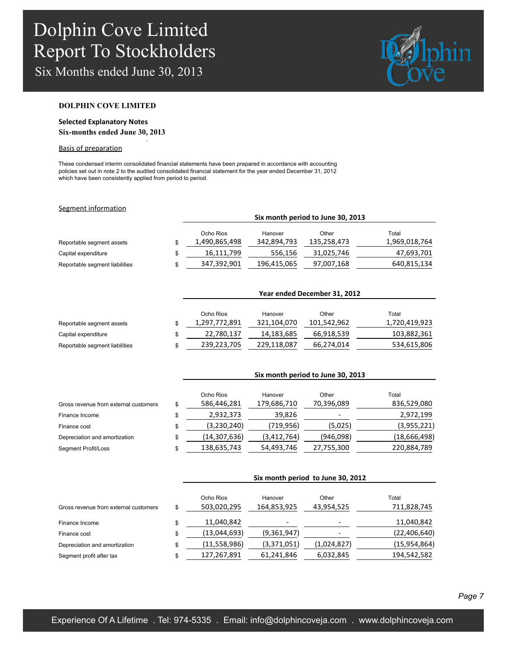Six Months ended June 30, 2013



#### **DOLPHIN COVE LIMITED**

### **Selected Explanatory Notes Six-months ended June 30, 2013**

.

#### Basis of preparation

These condensed interim consolidated financial statements have been prepared in accordance with accounting policies set out in note 2 to the audited consolidated financial statement for the year ended December 31, 2012 which have been consistently applied from period to period.

#### Segment information

|                                | SIX MONTH DEFIOR TO JUNE 30, 2013 |             |             |               |  |
|--------------------------------|-----------------------------------|-------------|-------------|---------------|--|
|                                | Ocho Rios                         | Hanover     | Other       | Total         |  |
| Reportable segment assets      | 1,490,865,498                     | 342,894,793 | 135,258,473 | 1,969,018,764 |  |
| Capital expenditure            | 16,111,799                        | 556,156     | 31,025,746  | 47,693,701    |  |
| Reportable segment liabilities | 347,392,901                       | 196,415,065 | 97,007,168  | 640,815,134   |  |

**Six month period to June 30, 2013**

|                                | Year ended December 31, 2012 |             |             |               |  |  |
|--------------------------------|------------------------------|-------------|-------------|---------------|--|--|
|                                | Ocho Rios                    | Hanover     | Other       | Total         |  |  |
| Reportable segment assets      | 1,297,772,891                | 321,104,070 | 101,542,962 | 1,720,419,923 |  |  |
| Capital expenditure            | 22,780,137                   | 14,183,685  | 66,918,539  | 103,882,361   |  |  |
| Reportable segment liabilities | 239,223,705                  | 229,118,087 | 66,274,014  | 534,615,806   |  |  |

|                                       | Six month period to June 30, 2013 |             |            |              |  |  |
|---------------------------------------|-----------------------------------|-------------|------------|--------------|--|--|
|                                       | Ocho Rios                         | Hanover     | Other      | Total        |  |  |
| Gross revenue from external customers | \$<br>586,446,281                 | 179,686,710 | 70,396,089 | 836,529,080  |  |  |
| Finance Income                        | \$<br>2,932,373                   | 39,826      |            | 2,972,199    |  |  |
| Finance cost                          | \$<br>(3,230,240)                 | (719, 956)  | (5,025)    | (3,955,221)  |  |  |
| Depreciation and amortization         | \$<br>(14, 307, 636)              | (3,412,764) | (946,098)  | (18,666,498) |  |  |
| <b>Segment Profit/Loss</b>            | 138,635,743                       | 54,493,746  | 27,755,300 | 220,884,789  |  |  |

|                                       |    | Six month period to June 30, 2012 |                        |                     |                      |
|---------------------------------------|----|-----------------------------------|------------------------|---------------------|----------------------|
| Gross revenue from external customers | \$ | Ocho Rios<br>503,020,295          | Hanover<br>164,853,925 | Other<br>43,954,525 | Total<br>711,828,745 |
| Finance Income                        | \$ | 11,040,842                        |                        |                     | 11,040,842           |
| Finance cost                          | \$ | (13,044,693)                      | (9,361,947)            |                     | (22, 406, 640)       |
| Depreciation and amortization         | \$ | (11,558,986)                      | (3,371,051)            | (1,024,827)         | (15, 954, 864)       |
| Segment profit after tax              | \$ | 127,267,891                       | 61,241,846             | 6,032,845           | 194,542,582          |